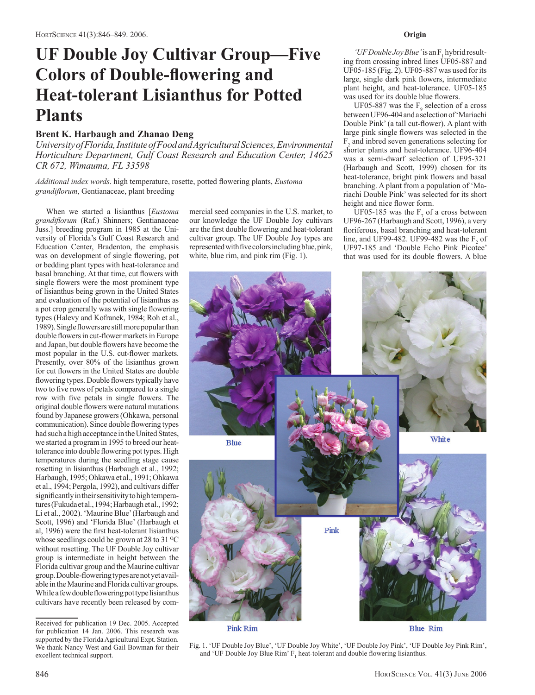# **UF Double Joy Cultivar Group—Five Colors of Double-flowering and Heat-tolerant Lisianthus for Potted Plants**

## **Brent K. Harbaugh and Zhanao Deng**

*University of Florida, Institute of Food and Agricultural Sciences, Environmental Horticulture Department, Gulf Coast Research and Education Center, 14625 CR 672, Wimauma, FL 33598*

*Additional index words*. high temperature, rosette, potted flowering plants, *Eustoma*  grandiflorum, Gentianaceae, plant breeding

When we started a lisianthus [*Eustoma*  grandiflorum (Raf.) Shinners; Gentianaceae Juss.] breeding program in 1985 at the University of Florida's Gulf Coast Research and Education Center, Bradenton, the emphasis was on development of single flowering, pot or bedding plant types with heat-tolerance and basal branching. At that time, cut flowers with single flowers were the most prominent type of lisianthus being grown in the United States and evaluation of the potential of lisianthus as a pot crop generally was with single flowering types (Halevy and Kofranek, 1984; Roh et al., 1989). Single flowers are still more popular than double flowers in cut-flower markets in Europe and Japan, but double flowers have become the most popular in the U.S. cut-flower markets. Presently, over 80% of the lisianthus grown for cut flowers in the United States are double flowering types. Double flowers typically have two to five rows of petals compared to a single row with five petals in single flowers. The original double flowers were natural mutations found by Japanese growers (Ohkawa, personal communication). Since double flowering types had such a high acceptance in the United States, we started a program in 1995 to breed our heattolerance into double flowering pot types. High temperatures during the seedling stage cause rosetting in lisianthus (Harbaugh et al., 1992; Harbaugh, 1995; Ohkawa et al., 1991; Ohkawa et al., 1994; Pergola, 1992), and cultivars differ significantly in their sensitivity to high temperatures (Fukuda et al., 1994; Harbaugh et al., 1992; Li et al., 2002). 'Maurine Blue' (Harbaugh and Scott, 1996) and 'Florida Blue' (Harbaugh et al, 1996) were the first heat-tolerant lisianthus whose seedlings could be grown at 28 to 31  $^{\circ}$ C without rosetting. The UF Double Joy cultivar group is intermediate in height between the Florida cultivar group and the Maurine cultivar group. Double-flowering types are not yet available in the Maurine and Florida cultivar groups. While a few double flowering pot type lisianthus cultivars have recently been released by commercial seed companies in the U.S. market, to our knowledge the UF Double Joy cultivars are the first double flowering and heat-tolerant cultivar group. The UF Double Joy types are represented with five colors including blue, pink, white, blue rim, and pink rim (Fig. 1).

'UF Double Joy Blue' is an F<sub>1</sub> hybrid resulting from crossing inbred lines UF05-887 and UF05-185 (Fig. 2). UF05-887 was used for its large, single dark pink flowers, intermediate plant height, and heat-tolerance. UF05-185 was used for its double blue flowers.

UF05-887 was the  $F<sub>9</sub>$  selection of a cross between UF96-404 and a selection of 'Mariachi Double Pink' (a tall cut-flower). A plant with large pink single flowers was selected in the  $F<sub>2</sub>$  and inbred seven generations selecting for shorter plants and heat-tolerance. UF96-404 was a semi-dwarf selection of UF95-321 (Harbaugh and Scott, 1999) chosen for its heat-tolerance, bright pink flowers and basal branching. A plant from a population of 'Mariachi Double Pink' was selected for its short height and nice flower form.

UF05-185 was the  $F<sub>7</sub>$  of a cross between UF96-267 (Harbaugh and Scott, 1996), a very floriferous, basal branching and heat-tolerant line, and UF99-482. UF99-482 was the  $F<sub>2</sub>$  of UF97-185 and 'Double Echo Pink Picotee' that was used for its double flowers. A blue



**Pink Rim** 

**Blue Rim** 

Fig. 1. 'UF Double Joy Blue', 'UF Double Joy White', 'UF Double Joy Pink', 'UF Double Joy Pink Rim', and 'UF Double Joy Blue Rim'  $F_1$  heat-tolerant and double flowering lisianthus.

Received for publication 19 Dec. 2005. Accepted for publication 14 Jan. 2006. This research was supported by the Florida Agricultural Expt. Station. We thank Nancy West and Gail Bowman for their excellent technical support.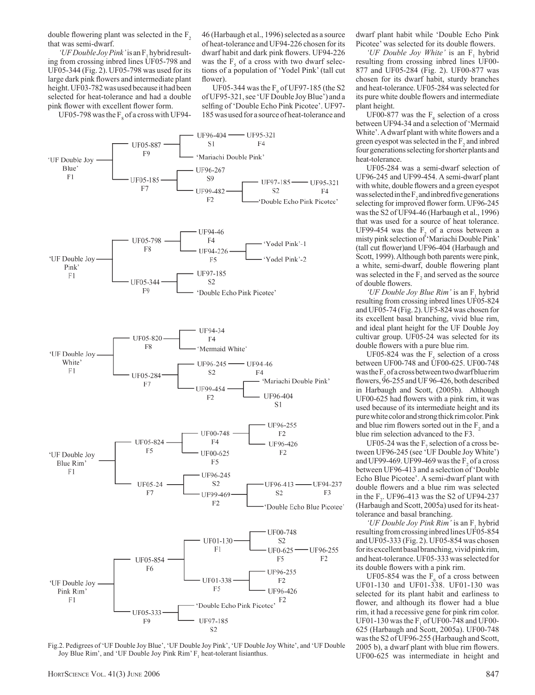double flowering plant was selected in the  $F<sub>2</sub>$ that was semi-dwarf.

'UF Double Joy Pink' is an F<sub>1</sub> hybrid resulting from crossing inbred lines UF05-798 and UF05-344 (Fig. 2). UF05-798 was used for its large dark pink flowers and intermediate plant height. UF03-782 was used because it had been selected for heat-tolerance and had a double pink flower with excellent flower form.

UF05-798 was the  $F<sub>e</sub>$  of a cross with UF94-

46 (Harbaugh et al., 1996) selected as a source of heat-tolerance and UF94-226 chosen for its dwarf habit and dark pink flowers. UF94-226 was the  $F<sub>s</sub>$  of a cross with two dwarf selections of a population of 'Yodel Pink' (tall cut flower).

UF05-344 was the  $F<sub>0</sub>$  of UF97-185 (the S2 of UF95-321, see 'UF Double Joy Blue') and a selfing of 'Double Echo Pink Picotee'. UF97- 185 was used for a source of heat-tolerance and



Fig.2. Pedigrees of 'UF Double Joy Blue', 'UF Double Joy Pink', 'UF Double Joy White', and 'UF Double Joy Blue Rim', and 'UF Double Joy Pink  $\text{Rim'} F_1$  heat-tolerant lisianthus.

dwarf plant habit while 'Double Echo Pink Picotee' was selected for its double flowers.

*'UF Double Joy White'* is an F<sub>1</sub> hybrid resulting from crossing inbred lines UF00- 877 and UF05-284 (Fig. 2). UF00-877 was chosen for its dwarf habit, sturdy branches and heat-tolerance. UF05-284 was selected for its pure white double flowers and intermediate plant height.

UF00-877 was the  $F<sub>8</sub>$  selection of a cross between UF94-34 and a selection of 'Mermaid White'. A dwarf plant with white flowers and a green eyespot was selected in the  $F<sub>2</sub>$  and inbred four generations selecting for shorter plants and heat-tolerance.

UF05-284 was a semi-dwarf selection of UF96-245 and UF99-454. A semi-dwarf plant with white, double flowers and a green eyespot was selected in the  $F_2$  and inbred five generations selecting for improved flower form. UF96-245 was the S2 of UF94-46 (Harbaugh et al., 1996) that was used for a source of heat tolerance. UF99-454 was the  $F<sub>2</sub>$  of a cross between a misty pink selection of 'Mariachi Double Pink' (tall cut flower)and UF96-404 (Harbaugh and Scott, 1999). Although both parents were pink, a white, semi-dwarf, double flowering plant was selected in the  $F<sub>2</sub>$  and served as the source of double flowers.

'UF Double Joy Blue Rim' is an F, hybrid resulting from crossing inbred lines UF05-824 and UF05-74 (Fig. 2). UF5-824 was chosen for its excellent basal branching, vivid blue rim, and ideal plant height for the UF Double Joy cultivar group. UF05-24 was selected for its double flowers with a pure blue rim.

 $UF05-824$  was the  $F<sub>z</sub>$  selection of a cross between UF00-748 and UF00-625. UF00-748 was the  $F<sub>2</sub>$  of a cross between two dwarf blue rim flowers,  $96-255$  and UF 96-426, both described in Harbaugh and Scott, (2005b). Although UF00-625 had flowers with a pink rim, it was used because of its intermediate height and its pure white color and strong thick rim color. Pink and blue rim flowers sorted out in the  $F_2$  and a blue rim selection advanced to the F3.

UF05-24 was the  $F<sub>7</sub>$  selection of a cross between UF96-245 (see 'UF Double Joy White') and UF99-469. UF99-469 was the  $F<sub>2</sub>$  of a cross between UF96-413 and a selection of 'Double Echo Blue Picotee'. A semi-dwarf plant with double flowers and a blue rim was selected in the  $F_2$ . UF96-413 was the S2 of UF94-237 (Harbaugh and Scott, 2005a) used for its heattolerance and basal branching.

*'UF Double Joy Pink Rim'* is an F, hybrid resulting from crossing inbred lines UF05-854 and UF05-333 (Fig. 2). UF05-854 was chosen for its excellent basal branching, vivid pink rim, and heat-tolerance. UF05-333 was selected for its double flowers with a pink rim.

UF05-854 was the  $F<sub>c</sub>$  of a cross between UF01-130 and UF01-338. UF01-130 was selected for its plant habit and earliness to flower, and although its flower had a blue rim, it had a recessive gene for pink rim color. UF01-130 was the F, of UF00-748 and UF00-625 (Harbaugh and Scott, 2005a). UF00-748 was the S2 of UF96-255 (Harbaugh and Scott, 2005 b), a dwarf plant with blue rim flowers. UF00-625 was intermediate in height and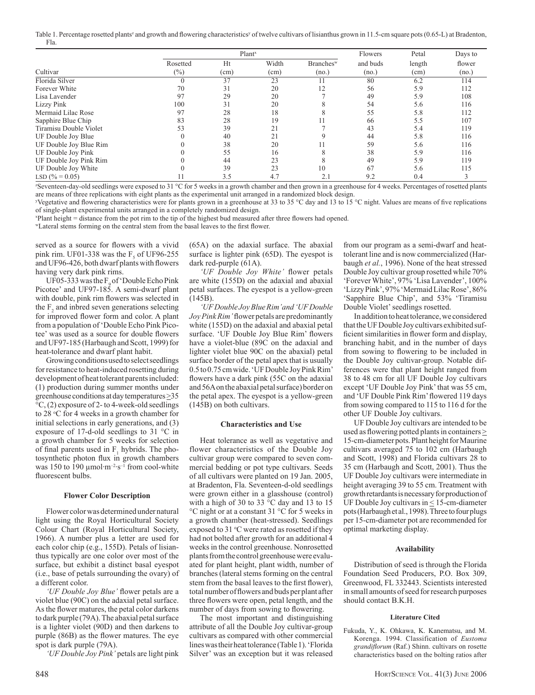Table 1. Percentage rosetted plants<sup>z</sup> and growth and flowering characteristics<sup>y</sup> of twelve cultivars of lisianthus grown in 11.5-cm square pots (0.65-L) at Bradenton, Fla.

|                        |          | Plant <sup>x</sup> |       |                       |          | Petal  | Days to |
|------------------------|----------|--------------------|-------|-----------------------|----------|--------|---------|
|                        | Rosetted | Ht                 | Width | Branches <sup>w</sup> | and buds | length | flower  |
| Cultivar               | $(\%)$   | (cm)               | (cm)  | (no.)                 | (no.)    | (cm)   | (no.)   |
| Florida Silver         |          | 37                 | 23    |                       | 80       | 6.2    | 114     |
| Forever White          | 70       | 31                 | 20    | 12                    | 56       | 5.9    | 112     |
| Lisa Lavender          | 97       | 29                 | 20    |                       | 49       | 5.9    | 108     |
| <b>Lizzy Pink</b>      | 100      | 31                 | 20    |                       | 54       | 5.6    | 116     |
| Mermaid Lilac Rose     | 97       | 28                 | 18    |                       | 55       | 5.8    | 112     |
| Sapphire Blue Chip     | 83       | 28                 | 19    |                       | 66       | 5.5    | 107     |
| Tiramisu Double Violet | 53       | 39                 | 21    |                       | 43       | 5.4    | 119     |
| UF Double Joy Blue     |          | 40                 | 21    |                       | 44       | 5.8    | 116     |
| UF Double Joy Blue Rim |          | 38                 | 20    |                       | 59       | 5.6    | 116     |
| UF Double Joy Pink     |          | 55                 | 16    |                       | 38       | 5.9    | 116     |
| UF Double Joy Pink Rim |          | 44                 | 23    |                       | 49       | 5.9    | 119     |
| UF Double Joy White    |          | 39                 | 23    | 10                    | 67       | 5.6    | 115     |
| LSD $(\% = 0.05)$      |          | 3.5                | 4.7   | 2.1                   | 9.2      | 0.4    |         |

z Seventeen-day-old seedlings were exposed to 31 °C for 5 weeks in a growth chamber and then grown in a greenhouse for 4 weeks. Percentages of rosetted plants are means of three replications with eight plants as the experimental unit arranged in a randomized block design.

Vegetative and flowering characteristics were for plants grown in a greenhouse at 33 to 35 °C day and 13 to 15 °C night. Values are means of five replications of single-plant experimental units arranged in a completely randomized design.

x Plant height = distance from the pot rim to the tip of the highest bud measured after three flowers had opened. wLateral stems forming on the central stem from the basal leaves to the first flower.

served as a source for flowers with a vivid pink rim. UF01-338 was the  $F_5$  of UF96-255 and UF96-426, both dwarf plants with flowers having very dark pink rims.

UF05-333 was the  $F<sub>9</sub>$  of 'Double Echo Pink Picotee' and UF97-185. A semi-dwarf plant with double, pink rim flowers was selected in the  $F<sub>2</sub>$  and inbred seven generations selecting for improved flower form and color. A plant from a population of 'Double Echo Pink Picotee' was used as a source for double flowers and UF97-185 (Harbaugh and Scott, 1999) for heat-tolerance and dwarf plant habit.

Growing conditions used to select seedlings for resistance to heat-induced rosetting during development of heat tolerant parents included: (1) production during summer months under greenhouse conditions at day temperatures  $\geq$ 35 °C, (2) exposure of 2- to 4-week-old seedlings to 28 °C for 4 weeks in a growth chamber for initial selections in early generations, and (3) exposure of 17-d-old seedlings to 31 °C in a growth chamber for 5 weeks for selection of final parents used in  $F_1$  hybrids. The photosynthetic photon flux in growth chambers was 150 to 190  $\mu$ mol·m<sup>-2</sup>·s<sup>-1</sup> from cool-white fluorescent bulbs.

#### **Flower Color Description**

Flower color was determined under natural light using the Royal Horticultural Society Colour Chart (Royal Horticultural Society, 1966). A number plus a letter are used for each color chip (e.g., 155D). Petals of lisianthus typically are one color over most of the surface, but exhibit a distinct basal eyespot (i.e., base of petals surrounding the ovary) of a different color.

*'UF Double Joy Blue'* flower petals are a violet blue (90C) on the adaxial petal surface. As the flower matures, the petal color darkens to dark purple (79A). The abaxial petal surface is a lighter violet (90D) and then darkens to purple (86B) as the flower matures. The eye spot is dark purple (79A).

*'UF Double Joy Pink'* petals are light pink

(65A) on the adaxial surface. The abaxial surface is lighter pink (65D). The eyespot is dark red-purple (61A).

*'UF Double Joy White'* flower petals are white (155D) on the adaxial and abaxial petal surfaces. The eyespot is a yellow-green (145B).

*'UF Double Joy Blue Rim' and 'UF Double Joy Pink Rim'* flower petals are predominantly white (155D) on the adaxial and abaxial petal surface. 'UF Double Joy Blue Rim' flowers have a violet-blue (89C on the adaxial and lighter violet blue 90C on the abaxial) petal surface border of the petal apex that is usually 0.5 to 0.75 cm wide. 'UF Double Joy Pink Rim' flowers have a dark pink (55C on the adaxial and 56A on the abaxial petal surface) border on the petal apex. The eyespot is a yellow-green (145B) on both cultivars.

#### **Characteristics and Use**

Heat tolerance as well as vegetative and flower characteristics of the Double Joy cultivar group were compared to seven commercial bedding or pot type cultivars. Seeds of all cultivars were planted on 19 Jan. 2005, at Bradenton, Fla. Seventeen-d-old seedlings were grown either in a glasshouse (control) with a high of 30 to 33 °C day and 13 to 15 °C night or at a constant 31 °C for 5 weeks in a growth chamber (heat-stressed). Seedlings exposed to 31 °C were rated as rosetted if they had not bolted after growth for an additional 4 weeks in the control greenhouse. Nonrosetted plants from the control greenhouse were evaluated for plant height, plant width, number of branches (lateral stems forming on the central stem from the basal leaves to the first flower), total number of flowers and buds per plant after three flowers were open, petal length, and the number of days from sowing to flowering.

The most important and distinguishing attribute of all the Double Joy cultivar-group cultivars as compared with other commercial lines was their heat tolerance (Table 1). 'Florida Silver' was an exception but it was released

from our program as a semi-dwarf and heattolerant line and is now commercialized (Harbaugh *et al.*, 1996). None of the heat stressed Double Joy cultivar group rosetted while 70% 'Forever White', 97% 'Lisa Lavender', 100% 'Lizzy Pink', 97% 'Mermaid Lilac Rose', 86% 'Sapphire Blue Chip', and 53% 'Tiramisu Double Violet' seedlings rosetted.

In addition to heat tolerance, we considered that the UF Double Joy cultivars exhibited sufficient similarities in flower form and display, branching habit, and in the number of days from sowing to flowering to be included in the Double Joy cultivar-group. Notable differences were that plant height ranged from 38 to 48 cm for all UF Double Joy cultivars except 'UF Double Joy Pink' that was 55 cm, and 'UF Double Pink Rim' flowered 119 days from sowing compared to 115 to 116 d for the other UF Double Joy cultivars.

UF Double Joy cultivars are intended to be used as flowering potted plants in containers  $\geq$ 15-cm-diameter pots. Plant height for Maurine cultivars averaged 75 to 102 cm (Harbaugh and Scott, 1998) and Florida cultivars 28 to 35 cm (Harbaugh and Scott, 2001). Thus the UF Double Joy cultivars were intermediate in height averaging 39 to 55 cm. Treatment with growth retardants is necessary for production of UF Double Joy cultivars in < 15-cm-diameter pots (Harbaugh et al., 1998). Three to four plugs per 15-cm-diameter pot are recommended for optimal marketing display.

### **Availability**

Distribution of seed is through the Florida Foundation Seed Producers, P.O. Box 309, Greenwood, FL 332443. Scientists interested in small amounts of seed for research purposes should contact B.K.H.

#### **Literature Cited**

Fukuda, Y., K. Ohkawa, K. Kanematsu, and M. Korenga. 1994. Classification of *Eustoma*  grandiflorum (Raf.) Shinn. cultivars on rosette characteristics based on the bolting ratios after